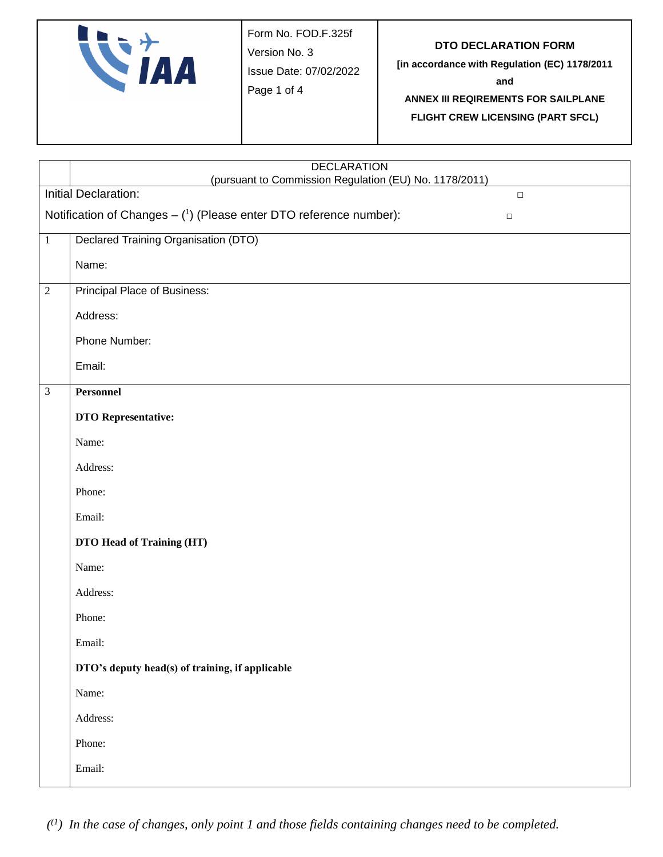| $\boldsymbol{I}$ | Form No. FOD.F.325f<br>Version No. 3<br>Issue Date: 07/02/2022<br>Page 1 of 4 | DTO DECLARATION FORM<br>[in accordance with Regulation (EC) 1178/2011<br>and<br>ANNEX III REQIREMENTS FOR SAILPLANE<br><b>FLIGHT CREW LICENSING (PART SFCL)</b> |
|------------------|-------------------------------------------------------------------------------|-----------------------------------------------------------------------------------------------------------------------------------------------------------------|
|------------------|-------------------------------------------------------------------------------|-----------------------------------------------------------------------------------------------------------------------------------------------------------------|

|                | <b>DECLARATION</b><br>(pursuant to Commission Regulation (EU) No. 1178/2011)   |
|----------------|--------------------------------------------------------------------------------|
|                | Initial Declaration:<br>$\Box$                                                 |
|                | Notification of Changes $-$ (1) (Please enter DTO reference number):<br>$\Box$ |
| $\,1$          | Declared Training Organisation (DTO)                                           |
|                | Name:                                                                          |
| $\overline{2}$ | Principal Place of Business:                                                   |
|                | Address:                                                                       |
|                | Phone Number:                                                                  |
|                | Email:                                                                         |
| $\mathfrak{Z}$ | Personnel                                                                      |
|                | <b>DTO</b> Representative:                                                     |
|                | Name:                                                                          |
|                | Address:                                                                       |
|                | Phone:                                                                         |
|                | Email:                                                                         |
|                | DTO Head of Training (HT)                                                      |
|                | Name:                                                                          |
|                | Address:                                                                       |
|                | Phone:                                                                         |
|                | Email:                                                                         |
|                | DTO's deputy head(s) of training, if applicable                                |
|                | Name:                                                                          |
|                | Address:                                                                       |
|                | Phone:                                                                         |
|                | Email:                                                                         |

*( (1 ) In the case of changes, only point 1 and those fields containing changes need to be completed.*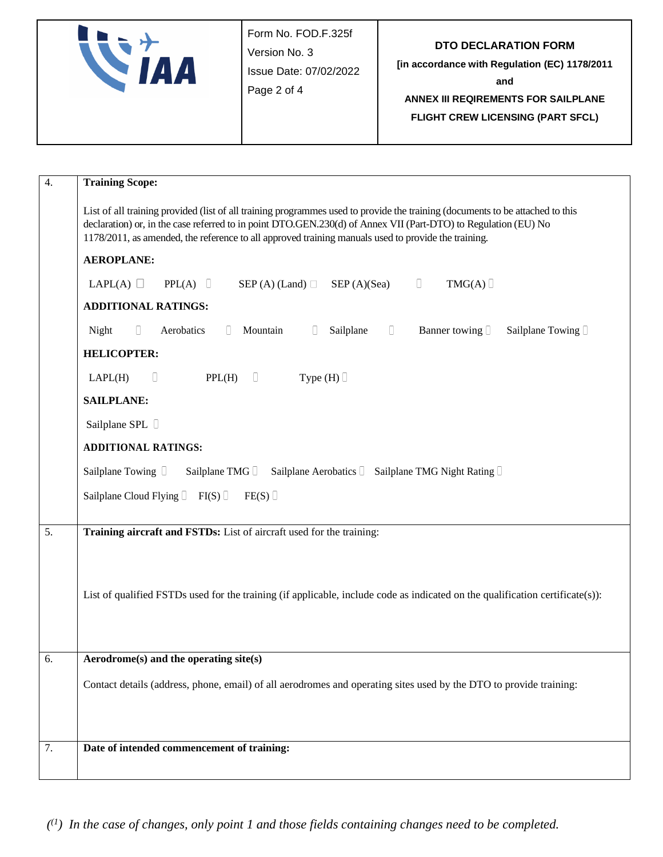|  | Form No. FOD.F.325f<br>Version No. 3<br>Issue Date: 07/02/2022<br>Page 2 of 4 | <b>DTO DECLARATION FORM</b><br>[in accordance with Regulation (EC) 1178/2011<br>and<br>ANNEX III REQIREMENTS FOR SAILPLANE<br><b>FLIGHT CREW LICENSING (PART SFCL)</b> |
|--|-------------------------------------------------------------------------------|------------------------------------------------------------------------------------------------------------------------------------------------------------------------|
|--|-------------------------------------------------------------------------------|------------------------------------------------------------------------------------------------------------------------------------------------------------------------|

| 4. | <b>Training Scope:</b>                                                                                                                                                                                                                                                                                                                                 |  |  |
|----|--------------------------------------------------------------------------------------------------------------------------------------------------------------------------------------------------------------------------------------------------------------------------------------------------------------------------------------------------------|--|--|
|    | List of all training provided (list of all training programmes used to provide the training (documents to be attached to this<br>declaration) or, in the case referred to in point DTO.GEN.230(d) of Annex VII (Part-DTO) to Regulation (EU) No<br>1178/2011, as amended, the reference to all approved training manuals used to provide the training. |  |  |
|    | <b>AEROPLANE:</b>                                                                                                                                                                                                                                                                                                                                      |  |  |
|    | $\Box$<br>LAPL(A) $\Box$<br>PPL(A)<br>$SEP(A)$ (Land) $\Box$<br>SEP(A)(Sea)<br>TMG(A)                                                                                                                                                                                                                                                                  |  |  |
|    | <b>ADDITIONAL RATINGS:</b>                                                                                                                                                                                                                                                                                                                             |  |  |
|    | Mountain<br>$\begin{array}{c} \square \end{array}$<br>Night<br>$\begin{array}{ccc} \hline \end{array}$<br>Aerobatics<br>$\begin{array}{c} \square \end{array}$<br>Sailplane<br>Banner towing $\Box$<br>Sailplane Towing I<br>u                                                                                                                         |  |  |
|    | <b>HELICOPTER:</b>                                                                                                                                                                                                                                                                                                                                     |  |  |
|    | $\Box$<br>D<br>PPL(H)<br>Type $(H)$<br>LAPL(H)                                                                                                                                                                                                                                                                                                         |  |  |
|    | <b>SAILPLANE:</b>                                                                                                                                                                                                                                                                                                                                      |  |  |
|    | Sailplane SPL D                                                                                                                                                                                                                                                                                                                                        |  |  |
|    | <b>ADDITIONAL RATINGS:</b>                                                                                                                                                                                                                                                                                                                             |  |  |
|    | Sailplane Towing D<br>Sailplane TMG D<br>Sailplane Aerobatics   Sailplane TMG Night Rating                                                                                                                                                                                                                                                             |  |  |
|    | Sailplane Cloud Flying $\Box$ FI(S) $\Box$<br>FE(S)                                                                                                                                                                                                                                                                                                    |  |  |
|    |                                                                                                                                                                                                                                                                                                                                                        |  |  |
| 5. | Training aircraft and FSTDs: List of aircraft used for the training:                                                                                                                                                                                                                                                                                   |  |  |
|    |                                                                                                                                                                                                                                                                                                                                                        |  |  |
|    | List of qualified FSTDs used for the training (if applicable, include code as indicated on the qualification certificate(s)):                                                                                                                                                                                                                          |  |  |
|    |                                                                                                                                                                                                                                                                                                                                                        |  |  |
|    |                                                                                                                                                                                                                                                                                                                                                        |  |  |
| 6. | Aerodrome(s) and the operating site(s)                                                                                                                                                                                                                                                                                                                 |  |  |
|    | Contact details (address, phone, email) of all aerodromes and operating sites used by the DTO to provide training:                                                                                                                                                                                                                                     |  |  |
|    |                                                                                                                                                                                                                                                                                                                                                        |  |  |
|    |                                                                                                                                                                                                                                                                                                                                                        |  |  |
| 7. | Date of intended commencement of training:                                                                                                                                                                                                                                                                                                             |  |  |
|    |                                                                                                                                                                                                                                                                                                                                                        |  |  |

*( (1 ) In the case of changes, only point 1 and those fields containing changes need to be completed.*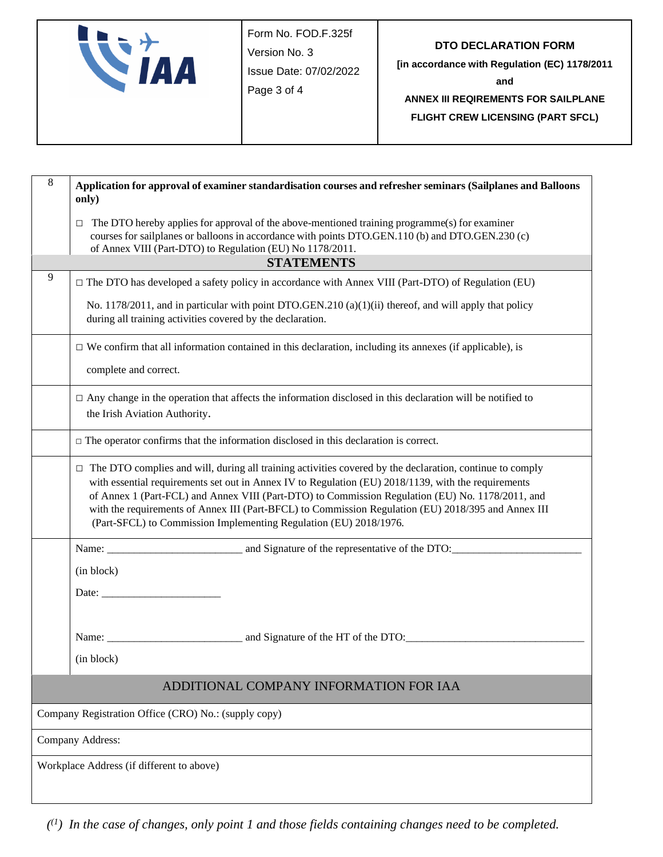|  | Form No. FOD.F.325f<br>Version No. 3<br>Issue Date: 07/02/2022<br>Page 3 of 4 | <b>DTO DECLARATION FORM</b><br>[in accordance with Regulation (EC) 1178/2011<br>and<br>ANNEX III REQIREMENTS FOR SAILPLANE<br><b>FLIGHT CREW LICENSING (PART SFCL)</b> |
|--|-------------------------------------------------------------------------------|------------------------------------------------------------------------------------------------------------------------------------------------------------------------|
|--|-------------------------------------------------------------------------------|------------------------------------------------------------------------------------------------------------------------------------------------------------------------|

| $\,8\,$ | Application for approval of examiner standardisation courses and refresher seminars (Sailplanes and Balloons<br>only)                                                                                                                                                                                                                                                                                                                                                                                  |  |
|---------|--------------------------------------------------------------------------------------------------------------------------------------------------------------------------------------------------------------------------------------------------------------------------------------------------------------------------------------------------------------------------------------------------------------------------------------------------------------------------------------------------------|--|
|         | The DTO hereby applies for approval of the above-mentioned training programme(s) for examiner<br>□<br>courses for sailplanes or balloons in accordance with points DTO.GEN.110 (b) and DTO.GEN.230 (c)<br>of Annex VIII (Part-DTO) to Regulation (EU) No 1178/2011.                                                                                                                                                                                                                                    |  |
|         | <b>STATEMENTS</b>                                                                                                                                                                                                                                                                                                                                                                                                                                                                                      |  |
| 9       | $\Box$ The DTO has developed a safety policy in accordance with Annex VIII (Part-DTO) of Regulation (EU)                                                                                                                                                                                                                                                                                                                                                                                               |  |
|         | No. 1178/2011, and in particular with point DTO.GEN.210 (a)(1)(ii) thereof, and will apply that policy<br>during all training activities covered by the declaration.                                                                                                                                                                                                                                                                                                                                   |  |
|         | $\Box$ We confirm that all information contained in this declaration, including its annexes (if applicable), is                                                                                                                                                                                                                                                                                                                                                                                        |  |
|         | complete and correct.                                                                                                                                                                                                                                                                                                                                                                                                                                                                                  |  |
|         | $\Box$ Any change in the operation that affects the information disclosed in this declaration will be notified to<br>the Irish Aviation Authority.                                                                                                                                                                                                                                                                                                                                                     |  |
|         | $\Box$ The operator confirms that the information disclosed in this declaration is correct.                                                                                                                                                                                                                                                                                                                                                                                                            |  |
|         | $\Box$ The DTO complies and will, during all training activities covered by the declaration, continue to comply<br>with essential requirements set out in Annex IV to Regulation (EU) 2018/1139, with the requirements<br>of Annex 1 (Part-FCL) and Annex VIII (Part-DTO) to Commission Regulation (EU) No. 1178/2011, and<br>with the requirements of Annex III (Part-BFCL) to Commission Regulation (EU) 2018/395 and Annex III<br>(Part-SFCL) to Commission Implementing Regulation (EU) 2018/1976. |  |
|         |                                                                                                                                                                                                                                                                                                                                                                                                                                                                                                        |  |
|         | (in block)                                                                                                                                                                                                                                                                                                                                                                                                                                                                                             |  |
|         | Date: the contract of the contract of the contract of the contract of the contract of the contract of the contract of the contract of the contract of the contract of the contract of the contract of the contract of the cont                                                                                                                                                                                                                                                                         |  |
|         |                                                                                                                                                                                                                                                                                                                                                                                                                                                                                                        |  |
|         |                                                                                                                                                                                                                                                                                                                                                                                                                                                                                                        |  |
|         | (in block)                                                                                                                                                                                                                                                                                                                                                                                                                                                                                             |  |
|         | ADDITIONAL COMPANY INFORMATION FOR IAA                                                                                                                                                                                                                                                                                                                                                                                                                                                                 |  |
|         | Company Registration Office (CRO) No.: (supply copy)                                                                                                                                                                                                                                                                                                                                                                                                                                                   |  |
|         | Company Address:                                                                                                                                                                                                                                                                                                                                                                                                                                                                                       |  |
|         | Workplace Address (if different to above)                                                                                                                                                                                                                                                                                                                                                                                                                                                              |  |
|         |                                                                                                                                                                                                                                                                                                                                                                                                                                                                                                        |  |

*( (1 ) In the case of changes, only point 1 and those fields containing changes need to be completed.*